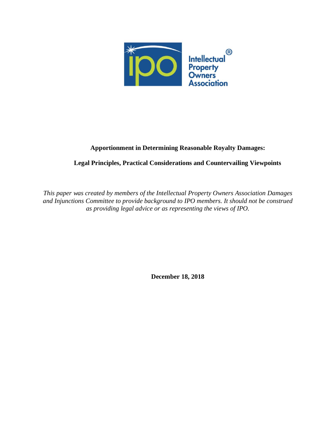

# **Apportionment in Determining Reasonable Royalty Damages:**

# **Legal Principles, Practical Considerations and Countervailing Viewpoints**

*This paper was created by members of the Intellectual Property Owners Association Damages and Injunctions Committee to provide background to IPO members. It should not be construed as providing legal advice or as representing the views of IPO.*

**December 18, 2018**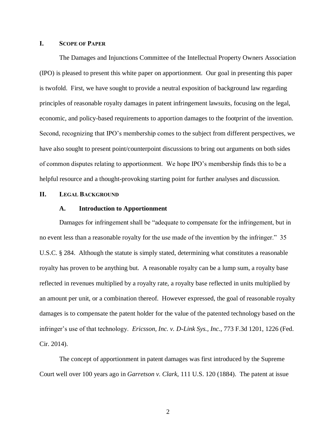### **I. SCOPE OF PAPER**

The Damages and Injunctions Committee of the Intellectual Property Owners Association (IPO) is pleased to present this white paper on apportionment. Our goal in presenting this paper is twofold. First, we have sought to provide a neutral exposition of background law regarding principles of reasonable royalty damages in patent infringement lawsuits, focusing on the legal, economic, and policy-based requirements to apportion damages to the footprint of the invention. Second, recognizing that IPO's membership comes to the subject from different perspectives, we have also sought to present point/counterpoint discussions to bring out arguments on both sides of common disputes relating to apportionment. We hope IPO's membership finds this to be a helpful resource and a thought-provoking starting point for further analyses and discussion.

#### **II. LEGAL BACKGROUND**

#### **A. Introduction to Apportionment**

Damages for infringement shall be "adequate to compensate for the infringement, but in no event less than a reasonable royalty for the use made of the invention by the infringer." 35 U.S.C. § 284. Although the statute is simply stated, determining what constitutes a reasonable royalty has proven to be anything but. A reasonable royalty can be a lump sum, a royalty base reflected in revenues multiplied by a royalty rate, a royalty base reflected in units multiplied by an amount per unit, or a combination thereof. However expressed, the goal of reasonable royalty damages is to compensate the patent holder for the value of the patented technology based on the infringer's use of that technology. *Ericsson, Inc. v. D-Link Sys., Inc.*, 773 F.3d 1201, 1226 (Fed. Cir. 2014).

The concept of apportionment in patent damages was first introduced by the Supreme Court well over 100 years ago in *Garretson v. Clark*, 111 U.S. 120 (1884). The patent at issue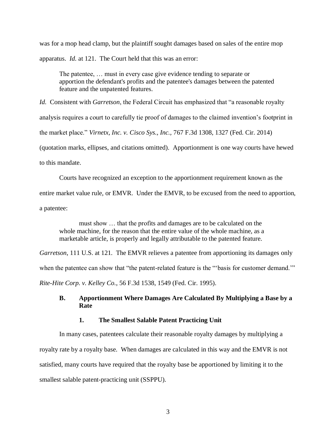was for a mop head clamp, but the plaintiff sought damages based on sales of the entire mop apparatus. *Id.* at 121. The Court held that this was an error:

The patentee, … must in every case give evidence tending to separate or apportion the defendant's profits and the patentee's damages between the patented feature and the unpatented features.

*Id.* Consistent with *Garretson*, the Federal Circuit has emphasized that "a reasonable royalty analysis requires a court to carefully tie proof of damages to the claimed invention's footprint in the market place." *Virnetx, Inc. v. Cisco Sys., Inc.,* 767 F.3d 1308, 1327 (Fed. Cir. 2014) (quotation marks, ellipses, and citations omitted). Apportionment is one way courts have hewed to this mandate.

Courts have recognized an exception to the apportionment requirement known as the

entire market value rule, or EMVR. Under the EMVR, to be excused from the need to apportion,

a patentee:

must show … that the profits and damages are to be calculated on the whole machine, for the reason that the entire value of the whole machine, as a marketable article, is properly and legally attributable to the patented feature.

*Garretson*, 111 U.S. at 121*.* The EMVR relieves a patentee from apportioning its damages only

when the patentee can show that "the patent-related feature is the "'basis for customer demand.'"

*Rite-Hite Corp. v. Kelley Co.*, 56 F.3d 1538, 1549 (Fed. Cir. 1995).

# **B. Apportionment Where Damages Are Calculated By Multiplying a Base by a Rate**

# **1. The Smallest Salable Patent Practicing Unit**

In many cases, patentees calculate their reasonable royalty damages by multiplying a royalty rate by a royalty base. When damages are calculated in this way and the EMVR is not satisfied, many courts have required that the royalty base be apportioned by limiting it to the smallest salable patent-practicing unit (SSPPU).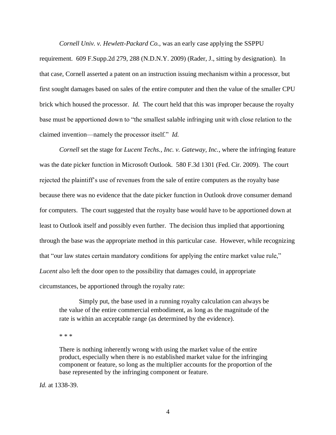*Cornell Univ. v. Hewlett-Packard Co.*, was an early case applying the SSPPU

requirement. 609 F.Supp.2d 279, 288 (N.D.N.Y. 2009) (Rader, J., sitting by designation). In that case, Cornell asserted a patent on an instruction issuing mechanism within a processor, but first sought damages based on sales of the entire computer and then the value of the smaller CPU brick which housed the processor. *Id.* The court held that this was improper because the royalty base must be apportioned down to "the smallest salable infringing unit with close relation to the claimed invention—namely the processor itself." *Id.*

*Cornell* set the stage for *Lucent Techs., Inc. v. Gateway, Inc.*, where the infringing feature was the date picker function in Microsoft Outlook. 580 F.3d 1301 (Fed. Cir. 2009). The court rejected the plaintiff's use of revenues from the sale of entire computers as the royalty base because there was no evidence that the date picker function in Outlook drove consumer demand for computers. The court suggested that the royalty base would have to be apportioned down at least to Outlook itself and possibly even further. The decision thus implied that apportioning through the base was the appropriate method in this particular case. However, while recognizing that "our law states certain mandatory conditions for applying the entire market value rule," *Lucent* also left the door open to the possibility that damages could, in appropriate circumstances, be apportioned through the royalty rate:

Simply put, the base used in a running royalty calculation can always be the value of the entire commercial embodiment, as long as the magnitude of the rate is within an acceptable range (as determined by the evidence).

\* \* \*

There is nothing inherently wrong with using the market value of the entire product, especially when there is no established market value for the infringing component or feature, so long as the multiplier accounts for the proportion of the base represented by the infringing component or feature.

*Id.* at 1338-39.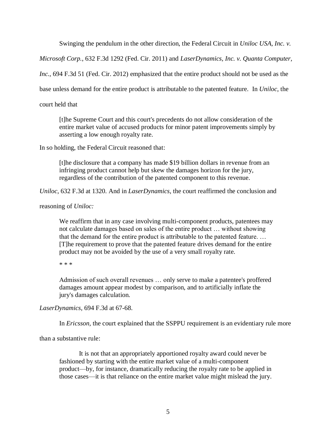Swinging the pendulum in the other direction, the Federal Circuit in *Uniloc USA, Inc. v.* 

*Microsoft Corp.*, 632 F.3d 1292 (Fed. Cir. 2011) and *LaserDynamics, Inc. v. Quanta Computer,* 

*Inc.*, 694 F.3d 51 (Fed. Cir. 2012) emphasized that the entire product should not be used as the

base unless demand for the entire product is attributable to the patented feature. In *Uniloc*, the

court held that

[t]he Supreme Court and this court's precedents do not allow consideration of the entire market value of accused products for minor patent improvements simply by asserting a low enough royalty rate.

In so holding, the Federal Circuit reasoned that:

[t]he disclosure that a company has made \$19 billion dollars in revenue from an infringing product cannot help but skew the damages horizon for the jury, regardless of the contribution of the patented component to this revenue.

*Uniloc*, 632 F.3d at 1320. And in *LaserDynamics*, the court reaffirmed the conclusion and

reasoning of *Uniloc:*

We reaffirm that in any case involving multi-component products, patentees may not calculate damages based on sales of the entire product … without showing that the demand for the entire product is attributable to the patented feature. … [T]he requirement to prove that the patented feature drives demand for the entire product may not be avoided by the use of a very small royalty rate.

\* \* \*

Admission of such overall revenues … only serve to make a patentee's proffered damages amount appear modest by comparison, and to artificially inflate the jury's damages calculation.

*LaserDynamics,* 694 F.3d at 67-68.

In *Ericsson,* the court explained that the SSPPU requirement is an evidentiary rule more

than a substantive rule:

It is not that an appropriately apportioned royalty award could never be fashioned by starting with the entire market value of a multi-component product—by, for instance, dramatically reducing the royalty rate to be applied in those cases—it is that reliance on the entire market value might mislead the jury.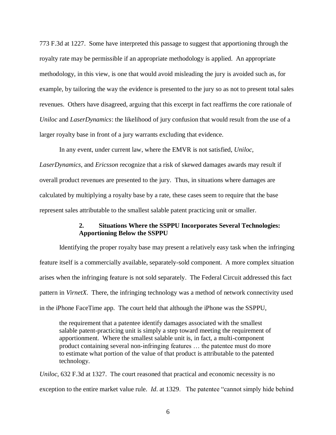773 F.3d at 1227. Some have interpreted this passage to suggest that apportioning through the royalty rate may be permissible if an appropriate methodology is applied. An appropriate methodology, in this view, is one that would avoid misleading the jury is avoided such as, for example, by tailoring the way the evidence is presented to the jury so as not to present total sales revenues. Others have disagreed, arguing that this excerpt in fact reaffirms the core rationale of *Uniloc* and *LaserDynamics*: the likelihood of jury confusion that would result from the use of a larger royalty base in front of a jury warrants excluding that evidence.

In any event, under current law, where the EMVR is not satisfied, *Uniloc, LaserDynamics,* and *Ericsson* recognize that a risk of skewed damages awards may result if overall product revenues are presented to the jury. Thus, in situations where damages are calculated by multiplying a royalty base by a rate, these cases seem to require that the base represent sales attributable to the smallest salable patent practicing unit or smaller.

## **2. Situations Where the SSPPU Incorporates Several Technologies: Apportioning Below the SSPPU**

Identifying the proper royalty base may present a relatively easy task when the infringing feature itself is a commercially available, separately-sold component. A more complex situation arises when the infringing feature is not sold separately. The Federal Circuit addressed this fact pattern in *VirnetX*. There, the infringing technology was a method of network connectivity used in the iPhone FaceTime app. The court held that although the iPhone was the SSPPU,

the requirement that a patentee identify damages associated with the smallest salable patent-practicing unit is simply a step toward meeting the requirement of apportionment. Where the smallest salable unit is, in fact, a multi-component product containing several non-infringing features … the patentee must do more to estimate what portion of the value of that product is attributable to the patented technology.

*Uniloc,* 632 F.3d at 1327. The court reasoned that practical and economic necessity is no exception to the entire market value rule. *Id*. at 1329. The patentee "cannot simply hide behind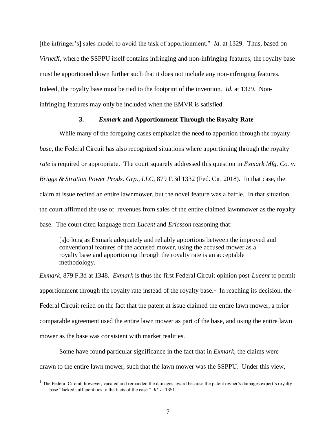[the infringer's] sales model to avoid the task of apportionment." *Id.* at 1329. Thus, based on *VirnetX*, where the SSPPU itself contains infringing and non-infringing features, the royalty base must be apportioned down further such that it does not include any non-infringing features. Indeed, the royalty base must be tied to the footprint of the invention. *Id.* at 1329. Noninfringing features may only be included when the EMVR is satisfied.

### **3.** *Exmark* **and Apportionment Through the Royalty Rate**

While many of the foregoing cases emphasize the need to apportion through the royalty *base,* the Federal Circuit has also recognized situations where apportioning through the royalty *rate* is required or appropriate.The court squarely addressed this question in *Exmark Mfg. Co. v. Briggs & Stratton Power Prods. Grp., LLC,* 879 F.3d 1332 (Fed. Cir. 2018). In that case, the claim at issue recited an entire lawnmower, but the novel feature was a baffle. In that situation, the court affirmed the use of revenues from sales of the entire claimed lawnmower as the royalty base. The court cited language from *Lucent* and *Ericsson* reasoning that:

[s]o long as Exmark adequately and reliably apportions between the improved and conventional features of the accused mower, using the accused mower as a royalty base and apportioning through the royalty rate is an acceptable methodology.

*Exmark,* 879 F.3d at 1348. *Exmark* is thus the first Federal Circuit opinion post*-Lucent* to permit apportionment through the royalty rate instead of the royalty base.<sup>1</sup> In reaching its decision, the Federal Circuit relied on the fact that the patent at issue claimed the entire lawn mower, a prior comparable agreement used the entire lawn mower as part of the base, and using the entire lawn mower as the base was consistent with market realities.

Some have found particular significance in the fact that in *Exmark*, the claims were drawn to the entire lawn mower, such that the lawn mower was the SSPPU. Under this view,

 $\overline{a}$ 

 $<sup>1</sup>$  The Federal Circuit, however, vacated and remanded the damages award because the patent owner's damages expert's royalty</sup> base "lacked sufficient ties to the facts of the case." *Id.* at 1351.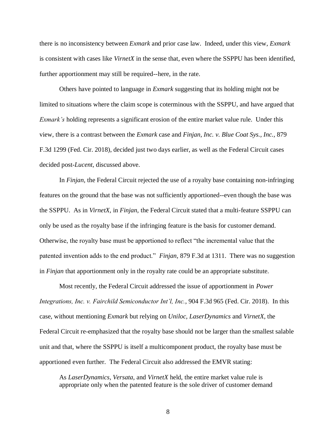there is no inconsistency between *Exmark* and prior case law. Indeed, under this view, *Exmark* is consistent with cases like *VirnetX* in the sense that, even where the SSPPU has been identified, further apportionment may still be required--here, in the rate.

Others have pointed to language in *Exmark* suggesting that its holding might not be limited to situations where the claim scope is coterminous with the SSPPU, and have argued that *Exmark's* holding represents a significant erosion of the entire market value rule. Under this view, there is a contrast between the *Exmark* case and *Finjan, Inc. v. Blue Coat Sys., Inc.,* 879 F.3d 1299 (Fed. Cir. 2018), decided just two days earlier, as well as the Federal Circuit cases decided post-*Lucent,* discussed above.

In *Finjan,* the Federal Circuit rejected the use of a royalty base containing non-infringing features on the ground that the base was not sufficiently apportioned--even though the base was the SSPPU. As in *VirnetX*, in *Finjan,* the Federal Circuit stated that a multi-feature SSPPU can only be used as the royalty base if the infringing feature is the basis for customer demand. Otherwise, the royalty base must be apportioned to reflect "the incremental value that the patented invention adds to the end product." *Finjan,* 879 F.3d at 1311. There was no suggestion in *Finjan* that apportionment only in the royalty rate could be an appropriate substitute.

Most recently, the Federal Circuit addressed the issue of apportionment in *Power Integrations, Inc. v. Fairchild Semiconductor Int'l, Inc.*, 904 F.3d 965 (Fed. Cir. 2018). In this case, without mentioning *Exmark* but relying on *Uniloc, LaserDynamics* and *VirnetX,* the Federal Circuit re-emphasized that the royalty base should not be larger than the smallest salable unit and that, where the SSPPU is itself a multicomponent product, the royalty base must be apportioned even further. The Federal Circuit also addressed the EMVR stating:

As *LaserDynamics, Versata,* and *VirnetX* held, the entire market value rule is appropriate only when the patented feature is the sole driver of customer demand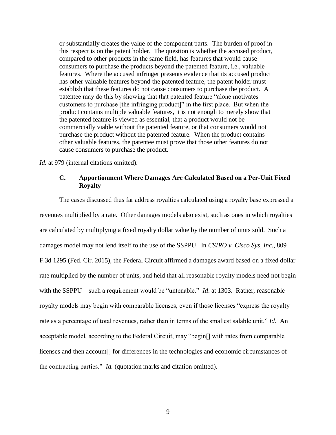or substantially creates the value of the component parts. The burden of proof in this respect is on the patent holder. The question is whether the accused product, compared to other products in the same field, has features that would cause consumers to purchase the products beyond the patented feature, i.e., valuable features. Where the accused infringer presents evidence that its accused product has other valuable features beyond the patented feature, the patent holder must establish that these features do not cause consumers to purchase the product. A patentee may do this by showing that that patented feature "alone motivates customers to purchase [the infringing product]" in the first place. But when the product contains multiple valuable features, it is not enough to merely show that the patented feature is viewed as essential, that a product would not be commercially viable without the patented feature, or that consumers would not purchase the product without the patented feature. When the product contains other valuable features, the patentee must prove that those other features do not cause consumers to purchase the product.

*Id.* at 979 (internal citations omitted).

# **C. Apportionment Where Damages Are Calculated Based on a Per-Unit Fixed Royalty**

The cases discussed thus far address royalties calculated using a royalty base expressed a revenues multiplied by a rate. Other damages models also exist, such as ones in which royalties are calculated by multiplying a fixed royalty dollar value by the number of units sold. Such a damages model may not lend itself to the use of the SSPPU. In *CSIRO v. Cisco Sys, Inc.*, 809 F.3d 1295 (Fed. Cir. 2015), the Federal Circuit affirmed a damages award based on a fixed dollar rate multiplied by the number of units, and held that all reasonable royalty models need not begin with the SSPPU—such a requirement would be "untenable." *Id*. at 1303. Rather, reasonable royalty models may begin with comparable licenses, even if those licenses "express the royalty rate as a percentage of total revenues, rather than in terms of the smallest salable unit." *Id.* An acceptable model, according to the Federal Circuit, may "begin[] with rates from comparable licenses and then account[] for differences in the technologies and economic circumstances of the contracting parties." *Id.* (quotation marks and citation omitted).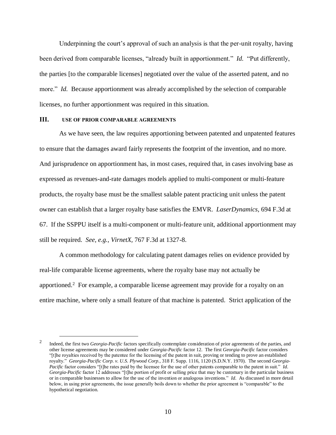Underpinning the court's approval of such an analysis is that the per-unit royalty, having been derived from comparable licenses, "already built in apportionment." *Id.* "Put differently, the parties [to the comparable licenses] negotiated over the value of the asserted patent, and no more." *Id.* Because apportionment was already accomplished by the selection of comparable licenses, no further apportionment was required in this situation.

### **III. USE OF PRIOR COMPARABLE AGREEMENTS**

 $\overline{a}$ 

As we have seen, the law requires apportioning between patented and unpatented features to ensure that the damages award fairly represents the footprint of the invention, and no more. And jurisprudence on apportionment has, in most cases, required that, in cases involving base as expressed as revenues-and-rate damages models applied to multi-component or multi-feature products, the royalty base must be the smallest salable patent practicing unit unless the patent owner can establish that a larger royalty base satisfies the EMVR. *LaserDynamics,* 694 F.3d at 67. If the SSPPU itself is a multi-component or multi-feature unit, additional apportionment may still be required. *See, e.g., VirnetX,* 767 F.3d at 1327-8.

A common methodology for calculating patent damages relies on evidence provided by real-life comparable license agreements, where the royalty base may not actually be apportioned.<sup>2</sup> For example, a comparable license agreement may provide for a royalty on an entire machine, where only a small feature of that machine is patented. Strict application of the

<sup>2</sup> Indeed, the first two *Georgia-Pacific* factors specifically contemplate consideration of prior agreements of the parties, and other license agreements may be considered under *Georgia-Pacific* factor 12. The first *Georgia-Pacific* factor considers "[t]he royalties received by the patentee for the licensing of the patent in suit, proving or tending to prove an established royalty." *Georgia-Pacific Corp. v. U.S. Plywood Corp.,* 318 F. Supp. 1116, 1120 (S.D.N.Y. 1970). The second *Georgia-Pacific* factor considers "[t]he rates paid by the licensee for the use of other patents comparable to the patent in suit." *Id. Georgia-Pacific* factor 12 addresses "[t]he portion of profit or selling price that may be customary in the particular business or in comparable businesses to allow for the use of the invention or analogous inventions." *Id.* As discussed in more detail below, in using prior agreements, the issue generally boils down to whether the prior agreement is "comparable" to the hypothetical negotiation.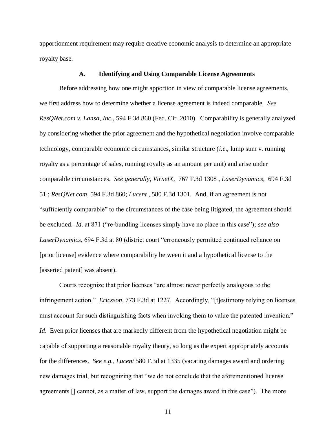apportionment requirement may require creative economic analysis to determine an appropriate royalty base.

#### **A. Identifying and Using Comparable License Agreements**

Before addressing how one might apportion in view of comparable license agreements, we first address how to determine whether a license agreement is indeed comparable. *See ResQNet.com v. Lansa*, *Inc.*, 594 F.3d 860 (Fed. Cir. 2010). Comparability is generally analyzed by considering whether the prior agreement and the hypothetical negotiation involve comparable technology, comparable economic circumstances, similar structure (*i.e*., lump sum v. running royalty as a percentage of sales, running royalty as an amount per unit) and arise under comparable circumstances. *See generally, VirnetX,* 767 F.3d 1308 , *LaserDynamics,* 694 F.3d 51 ; *ResQNet.com,* 594 F.3d 860; *Lucent ,* 580 F.3d 1301. And, if an agreement is not "sufficiently comparable" to the circumstances of the case being litigated, the agreement should be excluded. *Id*. at 871 ("re-bundling licenses simply have no place in this case"); *see also LaserDynamics*, 694 F.3d at 80 (district court "erroneously permitted continued reliance on [prior license] evidence where comparability between it and a hypothetical license to the [asserted patent] was absent).

Courts recognize that prior licenses "are almost never perfectly analogous to the infringement action." *Ericsson*, 773 F.3d at 1227. Accordingly, "[t]estimony relying on licenses must account for such distinguishing facts when invoking them to value the patented invention." *Id.* Even prior licenses that are markedly different from the hypothetical negotiation might be capable of supporting a reasonable royalty theory, so long as the expert appropriately accounts for the differences. *See e.g., Lucent* 580 F.3d at 1335 (vacating damages award and ordering new damages trial, but recognizing that "we do not conclude that the aforementioned license agreements [] cannot, as a matter of law, support the damages award in this case"). The more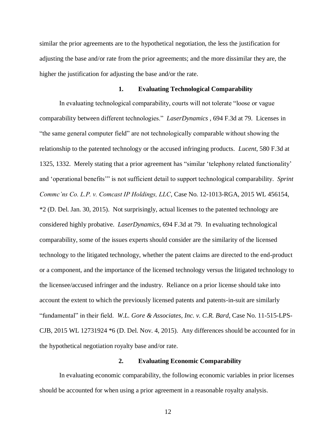similar the prior agreements are to the hypothetical negotiation, the less the justification for adjusting the base and/or rate from the prior agreements; and the more dissimilar they are, the higher the justification for adjusting the base and/or the rate.

#### **1. Evaluating Technological Comparability**

In evaluating technological comparability, courts will not tolerate "loose or vague comparability between different technologies." *LaserDynamics* , 694 F.3d at 79. Licenses in "the same general computer field" are not technologically comparable without showing the relationship to the patented technology or the accused infringing products. *Lucent*, 580 F.3d at 1325, 1332. Merely stating that a prior agreement has "similar 'telephony related functionality' and 'operational benefits'" is not sufficient detail to support technological comparability. *Sprint Commc'ns Co. L.P. v. Comcast IP Holdings, LLC*, Case No. 12-1013-RGA, 2015 WL 456154, \*2 (D. Del. Jan. 30, 2015). Not surprisingly, actual licenses to the patented technology are considered highly probative. *LaserDynamics*, 694 F.3d at 79. In evaluating technological comparability, some of the issues experts should consider are the similarity of the licensed technology to the litigated technology, whether the patent claims are directed to the end-product or a component, and the importance of the licensed technology versus the litigated technology to the licensee/accused infringer and the industry. Reliance on a prior license should take into account the extent to which the previously licensed patents and patents-in-suit are similarly "fundamental" in their field. *W.L. Gore & Associates, Inc. v. C.R. Bard*, Case No. 11-515-LPS-CJB, 2015 WL 12731924 \*6 (D. Del. Nov. 4, 2015). Any differences should be accounted for in the hypothetical negotiation royalty base and/or rate.

### **2. Evaluating Economic Comparability**

In evaluating economic comparability, the following economic variables in prior licenses should be accounted for when using a prior agreement in a reasonable royalty analysis.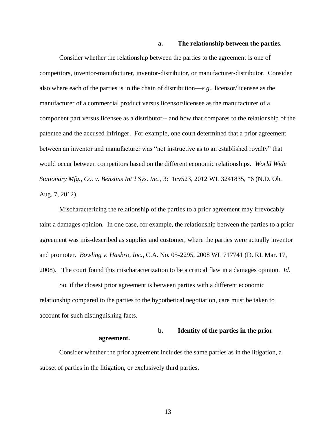#### **a. The relationship between the parties.**

Consider whether the relationship between the parties to the agreement is one of competitors, inventor-manufacturer, inventor-distributor, or manufacturer-distributor. Consider also where each of the parties is in the chain of distribution—*e.g*., licensor/licensee as the manufacturer of a commercial product versus licensor/licensee as the manufacturer of a component part versus licensee as a distributor-- and how that compares to the relationship of the patentee and the accused infringer. For example, one court determined that a prior agreement between an inventor and manufacturer was "not instructive as to an established royalty" that would occur between competitors based on the different economic relationships. *World Wide Stationary Mfg., Co. v. Bensons Int'l Sys. Inc.*, 3:11cv523, 2012 WL 3241835, \*6 (N.D. Oh. Aug. 7, 2012).

Mischaracterizing the relationship of the parties to a prior agreement may irrevocably taint a damages opinion. In one case, for example, the relationship between the parties to a prior agreement was mis-described as supplier and customer, where the parties were actually inventor and promoter. *Bowling v. Hasbro, Inc.*, C.A. No. 05-2295, 2008 WL 717741 (D. RI. Mar. 17, 2008). The court found this mischaracterization to be a critical flaw in a damages opinion. *Id.* 

So, if the closest prior agreement is between parties with a different economic relationship compared to the parties to the hypothetical negotiation, care must be taken to account for such distinguishing facts.

# **b. Identity of the parties in the prior agreement.**

Consider whether the prior agreement includes the same parties as in the litigation, a subset of parties in the litigation, or exclusively third parties.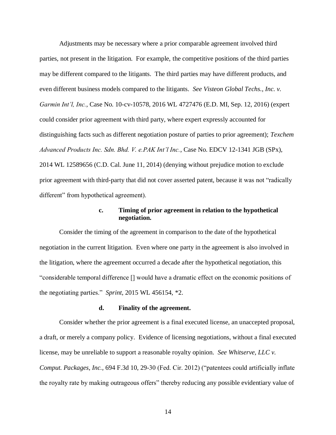Adjustments may be necessary where a prior comparable agreement involved third parties, not present in the litigation. For example, the competitive positions of the third parties may be different compared to the litigants. The third parties may have different products, and even different business models compared to the litigants. *See Visteon Global Techs., Inc. v. Garmin Int'l, Inc.*, Case No. 10-cv-10578, 2016 WL 4727476 (E.D. MI, Sep. 12, 2016) (expert could consider prior agreement with third party, where expert expressly accounted for distinguishing facts such as different negotiation posture of parties to prior agreement); *Texchem Advanced Products Inc. Sdn. Bhd. V. e.PAK Int'l Inc.*, Case No. EDCV 12-1341 JGB (SPx), 2014 WL 12589656 (C.D. Cal. June 11, 2014) (denying without prejudice motion to exclude prior agreement with third-party that did not cover asserted patent, because it was not "radically different" from hypothetical agreement).

### **c. Timing of prior agreement in relation to the hypothetical negotiation.**

Consider the timing of the agreement in comparison to the date of the hypothetical negotiation in the current litigation. Even where one party in the agreement is also involved in the litigation, where the agreement occurred a decade after the hypothetical negotiation, this "considerable temporal difference [] would have a dramatic effect on the economic positions of the negotiating parties." *Sprint*, 2015 WL 456154, \*2.

# **d. Finality of the agreement.**

Consider whether the prior agreement is a final executed license, an unaccepted proposal, a draft, or merely a company policy. Evidence of licensing negotiations, without a final executed license, may be unreliable to support a reasonable royalty opinion. *See Whitserve, LLC v. Comput. Packages*, *Inc.,* 694 F.3d 10, 29-30 (Fed. Cir. 2012) ("patentees could artificially inflate the royalty rate by making outrageous offers" thereby reducing any possible evidentiary value of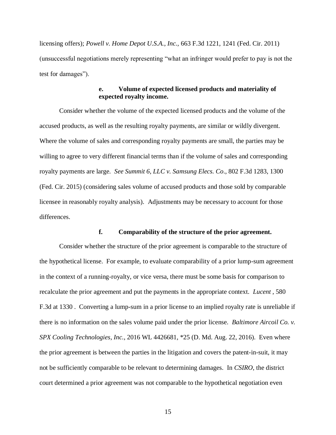licensing offers); *Powell v. Home Depot U.S.A.*, *Inc.,* 663 F.3d 1221, 1241 (Fed. Cir. 2011) (unsuccessful negotiations merely representing "what an infringer would prefer to pay is not the test for damages").

# **e. Volume of expected licensed products and materiality of expected royalty income.**

Consider whether the volume of the expected licensed products and the volume of the accused products, as well as the resulting royalty payments, are similar or wildly divergent. Where the volume of sales and corresponding royalty payments are small, the parties may be willing to agree to very different financial terms than if the volume of sales and corresponding royalty payments are large. *See Summit 6, LLC v. Samsung Elecs. Co*., 802 F.3d 1283, 1300 (Fed. Cir. 2015) (considering sales volume of accused products and those sold by comparable licensee in reasonably royalty analysis). Adjustments may be necessary to account for those differences.

# **f. Comparability of the structure of the prior agreement.**

Consider whether the structure of the prior agreement is comparable to the structure of the hypothetical license. For example, to evaluate comparability of a prior lump-sum agreement in the context of a running-royalty, or vice versa, there must be some basis for comparison to recalculate the prior agreement and put the payments in the appropriate context. *Lucent* , 580 F.3d at 1330 . Converting a lump-sum in a prior license to an implied royalty rate is unreliable if there is no information on the sales volume paid under the prior license. *Baltimore Aircoil Co. v. SPX Cooling Technologies*, *Inc.*, 2016 WL 4426681, \*25 (D. Md. Aug. 22, 2016). Even where the prior agreement is between the parties in the litigation and covers the patent-in-suit, it may not be sufficiently comparable to be relevant to determining damages. In *CSIRO*, the district court determined a prior agreement was not comparable to the hypothetical negotiation even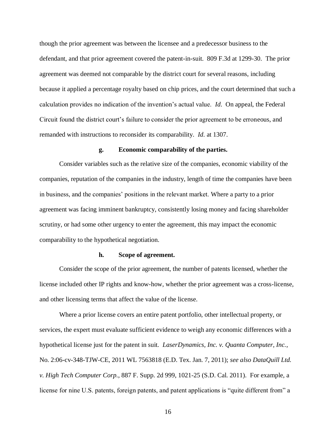though the prior agreement was between the licensee and a predecessor business to the defendant, and that prior agreement covered the patent-in-suit. 809 F.3d at 1299-30. The prior agreement was deemed not comparable by the district court for several reasons, including because it applied a percentage royalty based on chip prices, and the court determined that such a calculation provides no indication of the invention's actual value. *Id*. On appeal, the Federal Circuit found the district court's failure to consider the prior agreement to be erroneous, and remanded with instructions to reconsider its comparability. *Id*. at 1307.

#### **g. Economic comparability of the parties.**

Consider variables such as the relative size of the companies, economic viability of the companies, reputation of the companies in the industry, length of time the companies have been in business, and the companies' positions in the relevant market. Where a party to a prior agreement was facing imminent bankruptcy, consistently losing money and facing shareholder scrutiny, or had some other urgency to enter the agreement, this may impact the economic comparability to the hypothetical negotiation.

#### **h. Scope of agreement.**

Consider the scope of the prior agreement, the number of patents licensed, whether the license included other IP rights and know-how, whether the prior agreement was a cross-license, and other licensing terms that affect the value of the license.

Where a prior license covers an entire patent portfolio, other intellectual property, or services, the expert must evaluate sufficient evidence to weigh any economic differences with a hypothetical license just for the patent in suit. *LaserDynamics, Inc. v. Quanta Computer, Inc.*, No. 2:06-cv-348-TJW-CE, 2011 WL 7563818 (E.D. Tex. Jan. 7, 2011); *see also DataQuill Ltd. v. High Tech Computer Corp.*, 887 F. Supp. 2d 999, 1021-25 (S.D. Cal. 2011). For example, a license for nine U.S. patents, foreign patents, and patent applications is "quite different from" a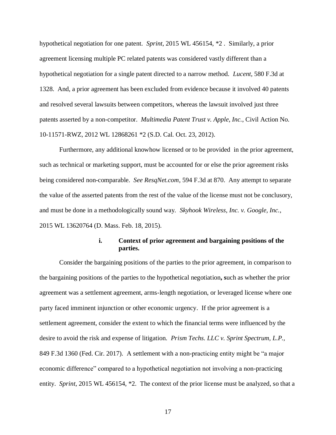hypothetical negotiation for one patent. *Sprint*, 2015 WL 456154, \*2 . Similarly, a prior agreement licensing multiple PC related patents was considered vastly different than a hypothetical negotiation for a single patent directed to a narrow method. *Lucent*, 580 F.3d at 1328. And, a prior agreement has been excluded from evidence because it involved 40 patents and resolved several lawsuits between competitors, whereas the lawsuit involved just three patents asserted by a non-competitor. *Multimedia Patent Trust v. Apple, Inc.*, Civil Action No. 10-11571-RWZ, 2012 WL 12868261 \*2 (S.D. Cal. Oct. 23, 2012).

Furthermore, any additional knowhow licensed or to be provided in the prior agreement, such as technical or marketing support, must be accounted for or else the prior agreement risks being considered non-comparable. *See ResqNet.com*, 594 F.3d at 870. Any attempt to separate the value of the asserted patents from the rest of the value of the license must not be conclusory, and must be done in a methodologically sound way. *Skyhook Wireless, Inc. v. Google, Inc.*, 2015 WL 13620764 (D. Mass. Feb. 18, 2015).

### **i. Context of prior agreement and bargaining positions of the parties.**

Consider the bargaining positions of the parties to the prior agreement, in comparison to the bargaining positions of the parties to the hypothetical negotiation**, s**uch as whether the prior agreement was a settlement agreement, arms-length negotiation, or leveraged license where one party faced imminent injunction or other economic urgency. If the prior agreement is a settlement agreement, consider the extent to which the financial terms were influenced by the desire to avoid the risk and expense of litigation. *Prism Techs. LLC v. Sprint Spectrum, L.P.,*  849 F.3d 1360 (Fed. Cir. 2017). A settlement with a non-practicing entity might be "a major economic difference" compared to a hypothetical negotiation not involving a non-practicing entity. *Sprint*, 2015 WL 456154, \*2. The context of the prior license must be analyzed, so that a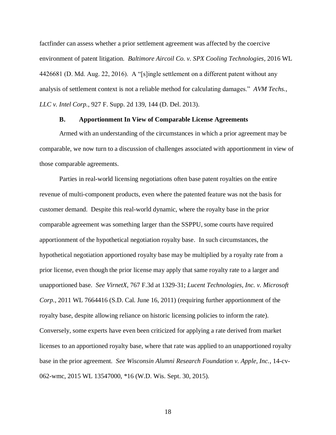factfinder can assess whether a prior settlement agreement was affected by the coercive environment of patent litigation. *Baltimore Aircoil Co. v. SPX Cooling Technologies*, 2016 WL 4426681 (D. Md. Aug. 22, 2016). A "[s]ingle settlement on a different patent without any analysis of settlement context is not a reliable method for calculating damages." *AVM Techs., LLC v. Intel Corp.*, 927 F. Supp. 2d 139, 144 (D. Del. 2013).

### **B. Apportionment In View of Comparable License Agreements**

Armed with an understanding of the circumstances in which a prior agreement may be comparable, we now turn to a discussion of challenges associated with apportionment in view of those comparable agreements.

Parties in real-world licensing negotiations often base patent royalties on the entire revenue of multi-component products, even where the patented feature was not the basis for customer demand. Despite this real-world dynamic, where the royalty base in the prior comparable agreement was something larger than the SSPPU, some courts have required apportionment of the hypothetical negotiation royalty base. In such circumstances, the hypothetical negotiation apportioned royalty base may be multiplied by a royalty rate from a prior license, even though the prior license may apply that same royalty rate to a larger and unapportioned base. *See VirnetX*, 767 F.3d at 1329-31; *Lucent Technologies, Inc. v. Microsoft Corp.*, 2011 WL 7664416 (S.D. Cal. June 16, 2011) (requiring further apportionment of the royalty base, despite allowing reliance on historic licensing policies to inform the rate). Conversely, some experts have even been criticized for applying a rate derived from market licenses to an apportioned royalty base, where that rate was applied to an unapportioned royalty base in the prior agreement. *See Wisconsin Alumni Research Foundation v. Apple, Inc.*, 14-cv-062-wmc, 2015 WL 13547000, \*16 (W.D. Wis. Sept. 30, 2015).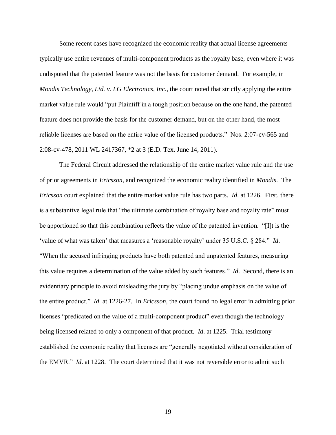Some recent cases have recognized the economic reality that actual license agreements typically use entire revenues of multi-component products as the royalty base, even where it was undisputed that the patented feature was not the basis for customer demand. For example, in *Mondis Technology, Ltd. v. LG Electronics, Inc.*, the court noted that strictly applying the entire market value rule would "put Plaintiff in a tough position because on the one hand, the patented feature does not provide the basis for the customer demand, but on the other hand, the most reliable licenses are based on the entire value of the licensed products." Nos. 2:07-cv-565 and 2:08-cv-478, 2011 WL 2417367, \*2 at 3 (E.D. Tex. June 14, 2011).

The Federal Circuit addressed the relationship of the entire market value rule and the use of prior agreements in *Ericsson,* and recognized the economic reality identified in *Mondis*. The *Ericsson* court explained that the entire market value rule has two parts. *Id*. at 1226. First, there is a substantive legal rule that "the ultimate combination of royalty base and royalty rate" must be apportioned so that this combination reflects the value of the patented invention. "[I]t is the 'value of what was taken' that measures a 'reasonable royalty' under 35 U.S.C. § 284." *Id*. "When the accused infringing products have both patented and unpatented features, measuring this value requires a determination of the value added by such features." *Id*. Second, there is an evidentiary principle to avoid misleading the jury by "placing undue emphasis on the value of the entire product." *Id*. at 1226-27. In *Ericsson,* the court found no legal error in admitting prior licenses "predicated on the value of a multi-component product" even though the technology being licensed related to only a component of that product. *Id*. at 1225. Trial testimony established the economic reality that licenses are "generally negotiated without consideration of the EMVR." *Id*. at 1228. The court determined that it was not reversible error to admit such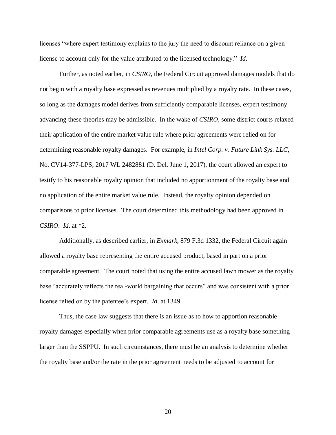licenses "where expert testimony explains to the jury the need to discount reliance on a given license to account only for the value attributed to the licensed technology." *Id*.

Further, as noted earlier, in *CSIRO,* the Federal Circuit approved damages models that do not begin with a royalty base expressed as revenues multiplied by a royalty rate. In these cases, so long as the damages model derives from sufficiently comparable licenses, expert testimony advancing these theories may be admissible. In the wake of *CSIRO,* some district courts relaxed their application of the entire market value rule where prior agreements were relied on for determining reasonable royalty damages. For example, in *Intel Corp. v. Future Link Sys. LLC*, No. CV14-377-LPS, 2017 WL 2482881 (D. Del. June 1, 2017), the court allowed an expert to testify to his reasonable royalty opinion that included no apportionment of the royalty base and no application of the entire market value rule. Instead, the royalty opinion depended on comparisons to prior licenses. The court determined this methodology had been approved in *CSIRO*. *Id*. at \*2.

Additionally, as described earlier, in *Exmark*, 879 F.3d 1332, the Federal Circuit again allowed a royalty base representing the entire accused product, based in part on a prior comparable agreement. The court noted that using the entire accused lawn mower as the royalty base "accurately reflects the real-world bargaining that occurs" and was consistent with a prior license relied on by the patentee's expert. *Id*. at 1349.

Thus, the case law suggests that there is an issue as to how to apportion reasonable royalty damages especially when prior comparable agreements use as a royalty base something larger than the SSPPU. In such circumstances, there must be an analysis to determine whether the royalty base and/or the rate in the prior agreement needs to be adjusted to account for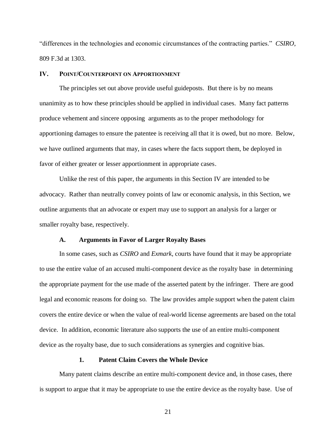"differences in the technologies and economic circumstances of the contracting parties." *CSIRO*, 809 F.3d at 1303.

#### **IV. POINT/COUNTERPOINT ON APPORTIONMENT**

The principles set out above provide useful guideposts. But there is by no means unanimity as to how these principles should be applied in individual cases. Many fact patterns produce vehement and sincere opposing arguments as to the proper methodology for apportioning damages to ensure the patentee is receiving all that it is owed, but no more. Below, we have outlined arguments that may, in cases where the facts support them, be deployed in favor of either greater or lesser apportionment in appropriate cases.

Unlike the rest of this paper, the arguments in this Section IV are intended to be advocacy. Rather than neutrally convey points of law or economic analysis, in this Section, we outline arguments that an advocate or expert may use to support an analysis for a larger or smaller royalty base, respectively.

#### **A. Arguments in Favor of Larger Royalty Bases**

In some cases, such as *CSIRO* and *Exmark*, courts have found that it may be appropriate to use the entire value of an accused multi-component device as the royalty base in determining the appropriate payment for the use made of the asserted patent by the infringer. There are good legal and economic reasons for doing so. The law provides ample support when the patent claim covers the entire device or when the value of real-world license agreements are based on the total device. In addition, economic literature also supports the use of an entire multi-component device as the royalty base, due to such considerations as synergies and cognitive bias.

### **1. Patent Claim Covers the Whole Device**

Many patent claims describe an entire multi-component device and, in those cases, there is support to argue that it may be appropriate to use the entire device as the royalty base. Use of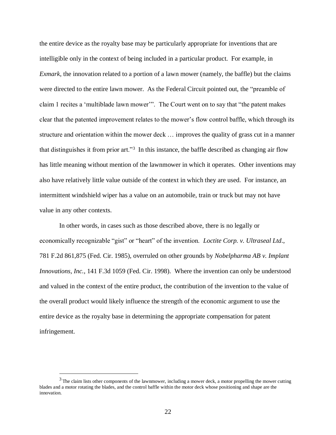the entire device as the royalty base may be particularly appropriate for inventions that are intelligible only in the context of being included in a particular product. For example, in *Exmark*, the innovation related to a portion of a lawn mower (namely, the baffle) but the claims were directed to the entire lawn mower. As the Federal Circuit pointed out, the "preamble of claim 1 recites a 'multiblade lawn mower'". The Court went on to say that "the patent makes clear that the patented improvement relates to the mower's flow control baffle, which through its structure and orientation within the mower deck … improves the quality of grass cut in a manner that distinguishes it from prior art."<sup>3</sup> In this instance, the baffle described as changing air flow has little meaning without mention of the lawnmower in which it operates. Other inventions may also have relatively little value outside of the context in which they are used. For instance, an intermittent windshield wiper has a value on an automobile, train or truck but may not have value in any other contexts.

In other words, in cases such as those described above, there is no legally or economically recognizable "gist" or "heart" of the invention. *Loctite Corp. v. Ultraseal Ltd*., 781 F.2d 861,875 (Fed. Cir. 1985), overruled on other grounds by *Nobelpharma AB v. Implant Innovations, Inc.,* 141 F.3d 1059 (Fed. Cir. 1998). Where the invention can only be understood and valued in the context of the entire product, the contribution of the invention to the value of the overall product would likely influence the strength of the economic argument to use the entire device as the royalty base in determining the appropriate compensation for patent infringement.

 $\overline{a}$ 

 $3$  The claim lists other components of the lawnmower, including a mower deck, a motor propelling the mower cutting blades and a motor rotating the blades, and the control baffle within the motor deck whose positioning and shape are the innovation.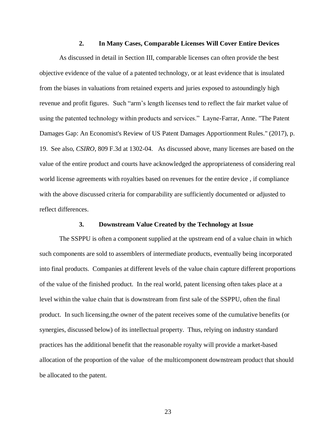### **2. In Many Cases, Comparable Licenses Will Cover Entire Devices**

As discussed in detail in Section III, comparable licenses can often provide the best objective evidence of the value of a patented technology, or at least evidence that is insulated from the biases in valuations from retained experts and juries exposed to astoundingly high revenue and profit figures. Such "arm's length licenses tend to reflect the fair market value of using the patented technology within products and services." Layne-Farrar, Anne. "The Patent Damages Gap: An Economist's Review of US Patent Damages Apportionment Rules." (2017), p. 19. See also, *CSIRO*, 809 F.3d at 1302-04. As discussed above, many licenses are based on the value of the entire product and courts have acknowledged the appropriateness of considering real world license agreements with royalties based on revenues for the entire device , if compliance with the above discussed criteria for comparability are sufficiently documented or adjusted to reflect differences.

### **3. Downstream Value Created by the Technology at Issue**

The SSPPU is often a component supplied at the upstream end of a value chain in which such components are sold to assemblers of intermediate products, eventually being incorporated into final products. Companies at different levels of the value chain capture different proportions of the value of the finished product. In the real world, patent licensing often takes place at a level within the value chain that is downstream from first sale of the SSPPU, often the final product. In such licensing,the owner of the patent receives some of the cumulative benefits (or synergies, discussed below) of its intellectual property. Thus, relying on industry standard practices has the additional benefit that the reasonable royalty will provide a market-based allocation of the proportion of the value of the multicomponent downstream product that should be allocated to the patent.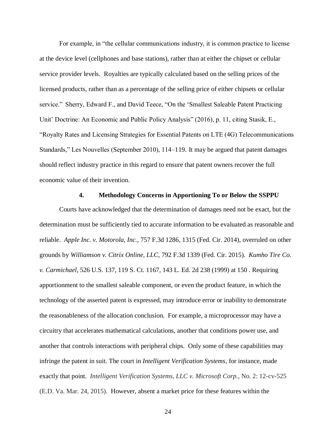For example, in "the cellular communications industry, it is common practice to license at the device level (cellphones and base stations), rather than at either the chipset or cellular service provider levels. Royalties are typically calculated based on the selling prices of the licensed products, rather than as a percentage of the selling price of either chipsets or cellular service." Sherry, Edward F., and David Teece, "On the 'Smallest Saleable Patent Practicing Unit' Doctrine: An Economic and Public Policy Analysis" (2016), p. 11, citing Stasik, E., "Royalty Rates and Licensing Strategies for Essential Patents on LTE (4G) Telecommunications Standards," Les Nouvelles (September 2010), 114–119. It may be argued that patent damages should reflect industry practice in this regard to ensure that patent owners recover the full economic value of their invention.

#### **4. Methodology Concerns in Apportioning To or Below the SSPPU**

Courts have acknowledged that the determination of damages need not be exact, but the determination must be sufficiently tied to accurate information to be evaluated as reasonable and reliable. *Apple Inc. v. Motorola, Inc.*, 757 F.3d 1286, 1315 (Fed. Cir. 2014), overruled on other grounds by *Williamson v. Citrix Online, LLC,* 792 F.3d 1339 (Fed. Cir. 2015). *Kumho Tire Co. v. Carmichael*, 526 U.S. 137, 119 S. Ct. 1167, 143 L. Ed. 2d 238 (1999) at 150 . Requiring apportionment to the smallest saleable component, or even the product feature, in which the technology of the asserted patent is expressed, may introduce error or inability to demonstrate the reasonableness of the allocation conclusion. For example, a microprocessor may have a circuitry that accelerates mathematical calculations, another that conditions power use, and another that controls interactions with peripheral chips. Only some of these capabilities may infringe the patent in suit. The court in *Intelligent Verification Systems*, for instance, made exactly that point. *Intelligent Verification Systems, LLC v. Microsoft Corp.*, No. 2: 12-cv-525 (E.D. Va. Mar. 24, 2015). However, absent a market price for these features within the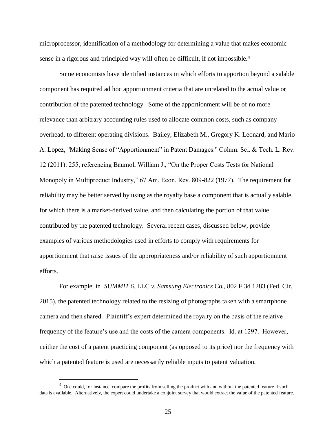microprocessor, identification of a methodology for determining a value that makes economic sense in a rigorous and principled way will often be difficult, if not impossible.<sup>4</sup>

Some economists have identified instances in which efforts to apportion beyond a salable component has required ad hoc apportionment criteria that are unrelated to the actual value or contribution of the patented technology. Some of the apportionment will be of no more relevance than arbitrary accounting rules used to allocate common costs, such as company overhead, to different operating divisions. Bailey, Elizabeth M., Gregory K. Leonard, and Mario A. Lopez, "Making Sense of "Apportionment" in Patent Damages." Colum. Sci. & Tech. L. Rev. 12 (2011): 255, referencing Baumol, William J., "On the Proper Costs Tests for National Monopoly in Multiproduct Industry," 67 Am. Econ. Rev. 809-822 (1977). The requirement for reliability may be better served by using as the royalty base a component that is actually salable, for which there is a market-derived value, and then calculating the portion of that value contributed by the patented technology. Several recent cases, discussed below, provide examples of various methodologies used in efforts to comply with requirements for apportionment that raise issues of the appropriateness and/or reliability of such apportionment efforts.

For example, in *SUMMIT 6*, LLC *v. Samsung Electronics* Co*.*, 802 F.3d 1283 (Fed. Cir. 2015), the patented technology related to the resizing of photographs taken with a smartphone camera and then shared. Plaintiff's expert determined the royalty on the basis of the relative frequency of the feature's use and the costs of the camera components. Id. at 1297. However, neither the cost of a patent practicing component (as opposed to its price) nor the frequency with which a patented feature is used are necessarily reliable inputs to patent valuation.

 $\overline{a}$ 

<sup>&</sup>lt;sup>4</sup> One could, for instance, compare the profits from selling the product with and without the patented feature if such data is available. Alternatively, the expert could undertake a conjoint survey that would extract the value of the patented feature.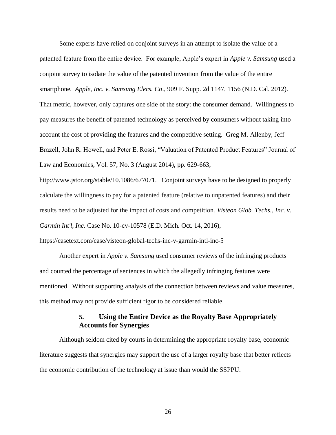Some experts have relied on conjoint surveys in an attempt to isolate the value of a patented feature from the entire device. For example, Apple's expert in *Apple v. Samsung* used a conjoint survey to isolate the value of the patented invention from the value of the entire smartphone. *Apple, Inc. v. Samsung Elecs. Co*., 909 F. Supp. 2d 1147, 1156 (N.D. Cal. 2012). That metric, however, only captures one side of the story: the consumer demand. Willingness to pay measures the benefit of patented technology as perceived by consumers without taking into account the cost of providing the features and the competitive setting. Greg M. Allenby, Jeff Brazell, John R. Howell, and Peter E. Rossi, "Valuation of Patented Product Features" Journal of Law and Economics, Vol. 57, No. 3 (August 2014), pp. 629-663,

http://www.jstor.org/stable/10.1086/677071. Conjoint surveys have to be designed to properly calculate the willingness to pay for a patented feature (relative to unpatented features) and their results need to be adjusted for the impact of costs and competition. *Visteon Glob. Techs., Inc. v. Garmin Int'l, Inc.* Case No. 10-cv-10578 (E.D. Mich. Oct. 14, 2016),

https://casetext.com/case/visteon-global-techs-inc-v-garmin-intl-inc-5

Another expert in *Apple v. Samsung* used consumer reviews of the infringing products and counted the percentage of sentences in which the allegedly infringing features were mentioned. Without supporting analysis of the connection between reviews and value measures, this method may not provide sufficient rigor to be considered reliable.

# **5. Using the Entire Device as the Royalty Base Appropriately Accounts for Synergies**

Although seldom cited by courts in determining the appropriate royalty base, economic literature suggests that synergies may support the use of a larger royalty base that better reflects the economic contribution of the technology at issue than would the SSPPU.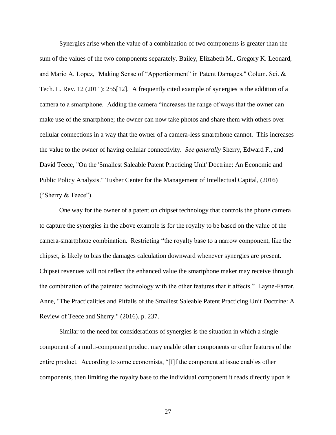Synergies arise when the value of a combination of two components is greater than the sum of the values of the two components separately. Bailey, Elizabeth M., Gregory K. Leonard, and Mario A. Lopez, "Making Sense of "Apportionment" in Patent Damages." Colum. Sci. & Tech. L. Rev. 12 (2011): 255[12]. A frequently cited example of synergies is the addition of a camera to a smartphone. Adding the camera "increases the range of ways that the owner can make use of the smartphone; the owner can now take photos and share them with others over cellular connections in a way that the owner of a camera-less smartphone cannot. This increases the value to the owner of having cellular connectivity. *See generally* Sherry, Edward F., and David Teece, "On the 'Smallest Saleable Patent Practicing Unit' Doctrine: An Economic and Public Policy Analysis." Tusher Center for the Management of Intellectual Capital, (2016) ("Sherry & Teece").

One way for the owner of a patent on chipset technology that controls the phone camera to capture the synergies in the above example is for the royalty to be based on the value of the camera-smartphone combination. Restricting "the royalty base to a narrow component, like the chipset, is likely to bias the damages calculation downward whenever synergies are present. Chipset revenues will not reflect the enhanced value the smartphone maker may receive through the combination of the patented technology with the other features that it affects." Layne-Farrar, Anne, "The Practicalities and Pitfalls of the Smallest Saleable Patent Practicing Unit Doctrine: A Review of Teece and Sherry." (2016). p. 237.

Similar to the need for considerations of synergies is the situation in which a single component of a multi-component product may enable other components or other features of the entire product. According to some economists, "[I]f the component at issue enables other components, then limiting the royalty base to the individual component it reads directly upon is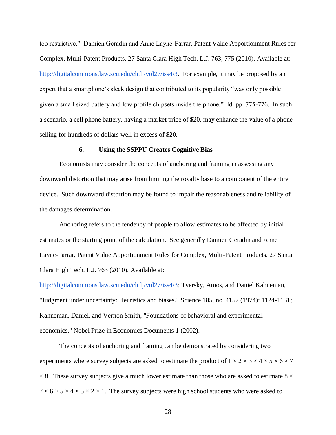too restrictive." Damien Geradin and Anne Layne-Farrar, Patent Value Apportionment Rules for Complex, Multi-Patent Products, 27 Santa Clara High Tech. L.J. 763, 775 (2010). Available at[:](http://digitalcommons.law.scu.edu/chtlj/vol27/iss4/3) [http://digitalcommons.law.scu.edu/chtlj/vol27/iss4/3.](http://digitalcommons.law.scu.edu/chtlj/vol27/iss4/3) For example, it may be proposed by an expert that a smartphone's sleek design that contributed to its popularity "was only possible given a small sized battery and low profile chipsets inside the phone." Id. pp. 775-776. In such a scenario, a cell phone battery, having a market price of \$20, may enhance the value of a phone selling for hundreds of dollars well in excess of \$20.

#### **6. Using the SSPPU Creates Cognitive Bias**

Economists may consider the concepts of anchoring and framing in assessing any downward distortion that may arise from limiting the royalty base to a component of the entire device. Such downward distortion may be found to impair the reasonableness and reliability of the damages determination.

Anchoring refers to the tendency of people to allow estimates to be affected by initial estimates or the starting point of the calculation. See generally Damien Geradin and Anne Layne-Farrar, Patent Value Apportionment Rules for Complex, Multi-Patent Products, 27 Santa Clara High Tech. L.J. 763 (2010). Available at[:](http://digitalcommons.law.scu.edu/chtlj/vol27/iss4/3)

[http://digitalcommons.law.scu.edu/chtlj/vol27/iss4/3;](http://digitalcommons.law.scu.edu/chtlj/vol27/iss4/3) Tversky, Amos, and Daniel Kahneman, "Judgment under uncertainty: Heuristics and biases." Science 185, no. 4157 (1974): 1124-1131; Kahneman, Daniel, and Vernon Smith, "Foundations of behavioral and experimental economics." Nobel Prize in Economics Documents 1 (2002).

The concepts of anchoring and framing can be demonstrated by considering two experiments where survey subjects are asked to estimate the product of  $1 \times 2 \times 3 \times 4 \times 5 \times 6 \times 7$  $\times$  8. These survey subjects give a much lower estimate than those who are asked to estimate 8  $\times$  $7 \times 6 \times 5 \times 4 \times 3 \times 2 \times 1$ . The survey subjects were high school students who were asked to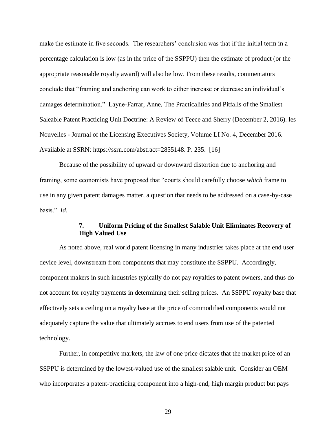make the estimate in five seconds. The researchers' conclusion was that if the initial term in a percentage calculation is low (as in the price of the SSPPU) then the estimate of product (or the appropriate reasonable royalty award) will also be low. From these results, commentators conclude that "framing and anchoring can work to either increase or decrease an individual's damages determination." Layne-Farrar, Anne, The Practicalities and Pitfalls of the Smallest Saleable Patent Practicing Unit Doctrine: A Review of Teece and Sherry (December 2, 2016). les Nouvelles - Journal of the Licensing Executives Society, Volume LI No. 4, December 2016. Available at SSRN: https://ssrn.com/abstract=2855148. P. 235. [16]

Because of the possibility of upward or downward distortion due to anchoring and framing, some economists have proposed that "courts should carefully choose *which* frame to use in any given patent damages matter, a question that needs to be addressed on a case-by-case basis." *Id*.

# **7. Uniform Pricing of the Smallest Salable Unit Eliminates Recovery of High Valued Use**

As noted above, real world patent licensing in many industries takes place at the end user device level, downstream from components that may constitute the SSPPU. Accordingly, component makers in such industries typically do not pay royalties to patent owners, and thus do not account for royalty payments in determining their selling prices. An SSPPU royalty base that effectively sets a ceiling on a royalty base at the price of commodified components would not adequately capture the value that ultimately accrues to end users from use of the patented technology.

Further, in competitive markets, the law of one price dictates that the market price of an SSPPU is determined by the lowest-valued use of the smallest salable unit. Consider an OEM who incorporates a patent-practicing component into a high-end, high margin product but pays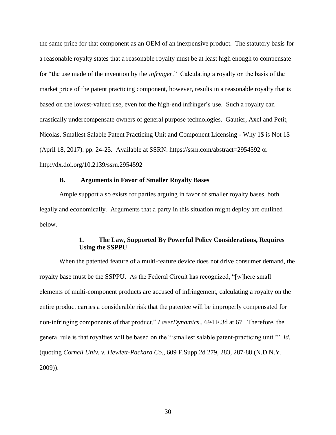the same price for that component as an OEM of an inexpensive product. The statutory basis for a reasonable royalty states that a reasonable royalty must be at least high enough to compensate for "the use made of the invention by the *infringer*." Calculating a royalty on the basis of the market price of the patent practicing component, however, results in a reasonable royalty that is based on the lowest-valued use, even for the high-end infringer's use. Such a royalty can drastically undercompensate owners of general purpose technologies. Gautier, Axel and Petit, Nicolas, Smallest Salable Patent Practicing Unit and Component Licensing - Why 1\$ is Not 1\$ (April 18, 2017). pp. 24-25. Available at SSRN: https://ssrn.com/abstract=2954592 or http://dx.doi.org/10.2139/ssrn.2954592

### **B. Arguments in Favor of Smaller Royalty Bases**

Ample support also exists for parties arguing in favor of smaller royalty bases, both legally and economically. Arguments that a party in this situation might deploy are outlined below.

# **1. The Law, Supported By Powerful Policy Considerations, Requires Using the SSPPU**

When the patented feature of a multi-feature device does not drive consumer demand, the royalty base must be the SSPPU. As the Federal Circuit has recognized, "[w]here small elements of multi-component products are accused of infringement, calculating a royalty on the entire product carries a considerable risk that the patentee will be improperly compensated for non-infringing components of that product." *LaserDynamics*., 694 F.3d at 67. Therefore, the general rule is that royalties will be based on the "'smallest salable patent-practicing unit.'" *Id.* (quoting *Cornell Univ. v. Hewlett-Packard Co*., 609 F.Supp.2d 279, 283, 287-88 (N.D.N.Y. 2009)).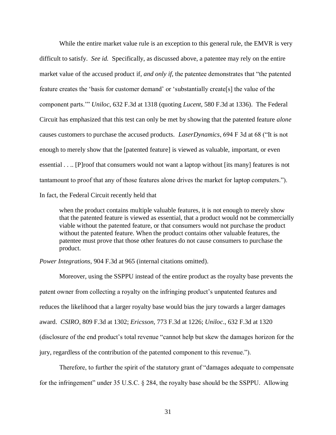While the entire market value rule is an exception to this general rule, the EMVR is very difficult to satisfy. *See id.* Specifically, as discussed above, a patentee may rely on the entire market value of the accused product if, *and only if*, the patentee demonstrates that "the patented feature creates the 'basis for customer demand' or 'substantially create[s] the value of the component parts.'" *Uniloc*, 632 F.3d at 1318 (quoting *Lucent*, 580 F.3d at 1336). The Federal Circuit has emphasized that this test can only be met by showing that the patented feature *alone* causes customers to purchase the accused products. *LaserDynamics*, 694 F 3d at 68 ("It is not enough to merely show that the [patented feature] is viewed as valuable, important, or even essential . . .. [P]roof that consumers would not want a laptop without [its many] features is not tantamount to proof that any of those features alone drives the market for laptop computers."). In fact, the Federal Circuit recently held that

when the product contains multiple valuable features, it is not enough to merely show that the patented feature is viewed as essential, that a product would not be commercially viable without the patented feature, or that consumers would not purchase the product without the patented feature. When the product contains other valuable features, the patentee must prove that those other features do not cause consumers to purchase the product.

*Power Integrations,* 904 F.3d at 965 (internal citations omitted).

Moreover, using the SSPPU instead of the entire product as the royalty base prevents the patent owner from collecting a royalty on the infringing product's unpatented features and reduces the likelihood that a larger royalty base would bias the jury towards a larger damages award. *CSIRO*, 809 F.3d at 1302; *Ericsson,* 773 F.3d at 1226; *Uniloc*., 632 F.3d at 1320 (disclosure of the end product's total revenue "cannot help but skew the damages horizon for the jury, regardless of the contribution of the patented component to this revenue.").

Therefore, to further the spirit of the statutory grant of "damages adequate to compensate for the infringement" under 35 U.S.C. § 284, the royalty base should be the SSPPU. Allowing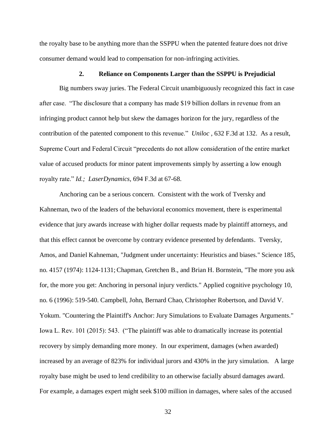the royalty base to be anything more than the SSPPU when the patented feature does not drive consumer demand would lead to compensation for non-infringing activities.

#### **2. Reliance on Components Larger than the SSPPU is Prejudicial**

Big numbers sway juries. The Federal Circuit unambiguously recognized this fact in case after case. "The disclosure that a company has made \$19 billion dollars in revenue from an infringing product cannot help but skew the damages horizon for the jury, regardless of the contribution of the patented component to this revenue." *Uniloc ,* 632 F.3d at 132. As a result, Supreme Court and Federal Circuit "precedents do not allow consideration of the entire market value of accused products for minor patent improvements simply by asserting a low enough royalty rate." *Id.; LaserDynamics,* 694 F.3d at 67-68.

Anchoring can be a serious concern. Consistent with the work of Tversky and Kahneman, two of the leaders of the behavioral economics movement, there is experimental evidence that jury awards increase with higher dollar requests made by plaintiff attorneys, and that this effect cannot be overcome by contrary evidence presented by defendants. Tversky, Amos, and Daniel Kahneman, "Judgment under uncertainty: Heuristics and biases." Science 185, no. 4157 (1974): 1124-1131;Chapman, Gretchen B., and Brian H. Bornstein, "The more you ask for, the more you get: Anchoring in personal injury verdicts." Applied cognitive psychology 10, no. 6 (1996): 519-540. Campbell, John, Bernard Chao, Christopher Robertson, and David V. Yokum. "Countering the Plaintiff's Anchor: Jury Simulations to Evaluate Damages Arguments." Iowa L. Rev. 101 (2015): 543. ("The plaintiff was able to dramatically increase its potential recovery by simply demanding more money. In our experiment, damages (when awarded) increased by an average of 823% for individual jurors and 430% in the jury simulation. A large royalty base might be used to lend credibility to an otherwise facially absurd damages award. For example, a damages expert might seek \$100 million in damages, where sales of the accused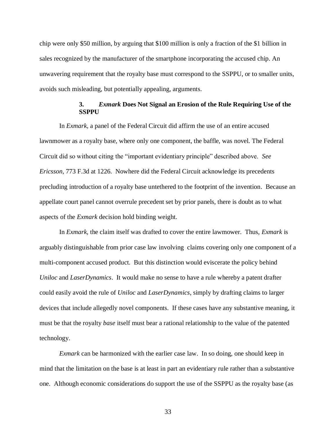chip were only \$50 million, by arguing that \$100 million is only a fraction of the \$1 billion in sales recognized by the manufacturer of the smartphone incorporating the accused chip. An unwavering requirement that the royalty base must correspond to the SSPPU, or to smaller units, avoids such misleading, but potentially appealing, arguments.

# **3.** *Exmark* **Does Not Signal an Erosion of the Rule Requiring Use of the SSPPU**

In *Exmark*, a panel of the Federal Circuit did affirm the use of an entire accused lawnmower as a royalty base, where only one component, the baffle, was novel. The Federal Circuit did so without citing the "important evidentiary principle" described above. *See Ericsson,* 773 F.3d at 1226. Nowhere did the Federal Circuit acknowledge its precedents precluding introduction of a royalty base untethered to the footprint of the invention. Because an appellate court panel cannot overrule precedent set by prior panels, there is doubt as to what aspects of the *Exmark* decision hold binding weight.

In *Exmark,* the claim itself was drafted to cover the entire lawmower. Thus, *Exmark* is arguably distinguishable from prior case law involving claims covering only one component of a multi-component accused product. But this distinction would eviscerate the policy behind *Uniloc* and *LaserDynamics*. It would make no sense to have a rule whereby a patent drafter could easily avoid the rule of *Uniloc* and *LaserDynamics*, simply by drafting claims to larger devices that include allegedly novel components. If these cases have any substantive meaning, it must be that the royalty *base* itself must bear a rational relationship to the value of the patented technology.

*Exmark* can be harmonized with the earlier case law. In so doing, one should keep in mind that the limitation on the base is at least in part an evidentiary rule rather than a substantive one. Although economic considerations do support the use of the SSPPU as the royalty base (as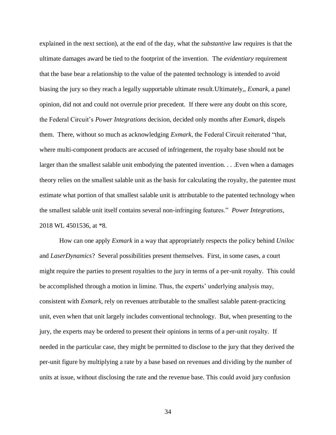explained in the next section), at the end of the day, what the *substantive* law requires is that the ultimate damages award be tied to the footprint of the invention. The *evidentiary* requirement that the base bear a relationship to the value of the patented technology is intended to avoid biasing the jury so they reach a legally supportable ultimate result.Ultimately,, *Exmark*, a panel opinion, did not and could not overrule prior precedent. If there were any doubt on this score, the Federal Circuit's *Power Integrations* decision, decided only months after *Exmark*, dispels them. There, without so much as acknowledging *Exmark*, the Federal Circuit reiterated "that, where multi-component products are accused of infringement, the royalty base should not be larger than the smallest salable unit embodying the patented invention. . . .Even when a damages theory relies on the smallest salable unit as the basis for calculating the royalty, the patentee must estimate what portion of that smallest salable unit is attributable to the patented technology when the smallest salable unit itself contains several non-infringing features." *Power Integrations*, 2018 WL 4501536, at \*8.

How can one apply *Exmark* in a way that appropriately respects the policy behind *Uniloc* and *LaserDynamics*? Several possibilities present themselves. First, in some cases, a court might require the parties to present royalties to the jury in terms of a per-unit royalty. This could be accomplished through a motion in limine. Thus, the experts' underlying analysis may, consistent with *Exmark*, rely on revenues attributable to the smallest salable patent-practicing unit, even when that unit largely includes conventional technology. But, when presenting to the jury, the experts may be ordered to present their opinions in terms of a per-unit royalty. If needed in the particular case, they might be permitted to disclose to the jury that they derived the per-unit figure by multiplying a rate by a base based on revenues and dividing by the number of units at issue, without disclosing the rate and the revenue base. This could avoid jury confusion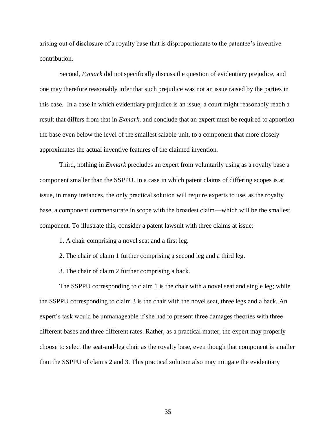arising out of disclosure of a royalty base that is disproportionate to the patentee's inventive contribution.

Second, *Exmark* did not specifically discuss the question of evidentiary prejudice, and one may therefore reasonably infer that such prejudice was not an issue raised by the parties in this case. In a case in which evidentiary prejudice is an issue, a court might reasonably reach a result that differs from that in *Exmark*, and conclude that an expert must be required to apportion the base even below the level of the smallest salable unit, to a component that more closely approximates the actual inventive features of the claimed invention.

Third, nothing in *Exmark* precludes an expert from voluntarily using as a royalty base a component smaller than the SSPPU. In a case in which patent claims of differing scopes is at issue, in many instances, the only practical solution will require experts to use, as the royalty base, a component commensurate in scope with the broadest claim—which will be the smallest component. To illustrate this, consider a patent lawsuit with three claims at issue:

1. A chair comprising a novel seat and a first leg.

2. The chair of claim 1 further comprising a second leg and a third leg.

3. The chair of claim 2 further comprising a back.

The SSPPU corresponding to claim 1 is the chair with a novel seat and single leg; while the SSPPU corresponding to claim 3 is the chair with the novel seat, three legs and a back. An expert's task would be unmanageable if she had to present three damages theories with three different bases and three different rates. Rather, as a practical matter, the expert may properly choose to select the seat-and-leg chair as the royalty base, even though that component is smaller than the SSPPU of claims 2 and 3. This practical solution also may mitigate the evidentiary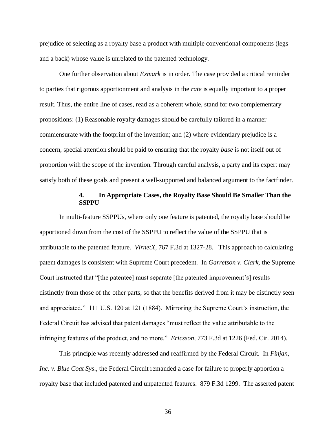prejudice of selecting as a royalty base a product with multiple conventional components (legs and a back) whose value is unrelated to the patented technology.

One further observation about *Exmark* is in order. The case provided a critical reminder to parties that rigorous apportionment and analysis in the *rate* is equally important to a proper result. Thus, the entire line of cases, read as a coherent whole, stand for two complementary propositions: (1) Reasonable royalty damages should be carefully tailored in a manner commensurate with the footprint of the invention; and (2) where evidentiary prejudice is a concern, special attention should be paid to ensuring that the royalty *base* is not itself out of proportion with the scope of the invention. Through careful analysis, a party and its expert may satisfy both of these goals and present a well-supported and balanced argument to the factfinder.

## **4. In Appropriate Cases, the Royalty Base Should Be Smaller Than the SSPPU**

In multi-feature SSPPUs, where only one feature is patented, the royalty base should be apportioned down from the cost of the SSPPU to reflect the value of the SSPPU that is attributable to the patented feature. *VirnetX*, 767 F.3d at 1327-28. This approach to calculating patent damages is consistent with Supreme Court precedent. In *Garretson v. Clark,* the Supreme Court instructed that "[the patentee] must separate [the patented improvement's] results distinctly from those of the other parts, so that the benefits derived from it may be distinctly seen and appreciated." 111 U.S. 120 at 121 (1884). Mirroring the Supreme Court's instruction, the Federal Circuit has advised that patent damages "must reflect the value attributable to the infringing features of the product, and no more." *Ericsson*, 773 F.3d at 1226 (Fed. Cir. 2014).

This principle was recently addressed and reaffirmed by the Federal Circuit. In *Finjan, Inc. v. Blue Coat Sys*., the Federal Circuit remanded a case for failure to properly apportion a royalty base that included patented and unpatented features. 879 F.3d 1299. The asserted patent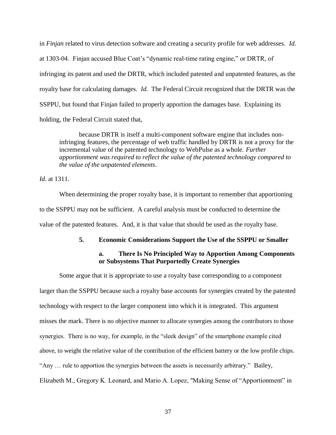in *Finjan* related to virus detection software and creating a security profile for web addresses. *Id.* at 1303-04. Finjan accused Blue Coat's "dynamic real-time rating engine," or DRTR, of infringing its patent and used the DRTR, which included patented and unpatented features, as the royalty base for calculating damages. *Id.* The Federal Circuit recognized that the DRTR was the SSPPU, but found that Finjan failed to properly apportion the damages base. Explaining its holding, the Federal Circuit stated that,

because DRTR is itself a multi-component software engine that includes noninfringing features, the percentage of web traffic handled by DRTR is not a proxy for the incremental value of the patented technology to WebPulse as a whole. *Further apportionment was required to reflect the value of the patented technology compared to the value of the unpatented elements*.

*Id*. at 1311.

When determining the proper royalty base, it is important to remember that apportioning to the SSPPU may not be sufficient. A careful analysis must be conducted to determine the value of the patented features. And, it is that value that should be used as the royalty base.

### **5. Economic Considerations Support the Use of the SSPPU or Smaller**

# **a. There Is No Principled Way to Apportion Among Components or Subsystems That Purportedly Create Synergies**

Some argue that it is appropriate to use a royalty base corresponding to a component larger than the SSPPU because such a royalty base accounts for synergies created by the patented technology with respect to the larger component into which it is integrated. This argument misses the mark. There is no objective manner to allocate synergies among the contributors to those synergies. There is no way, for example, in the "sleek design" of the smartphone example cited above, to weight the relative value of the contribution of the efficient battery or the low profile chips. "Any … rule to apportion the synergies between the assets is necessarily arbitrary." Bailey, Elizabeth M., Gregory K. Leonard, and Mario A. Lopez, "Making Sense of "Apportionment" in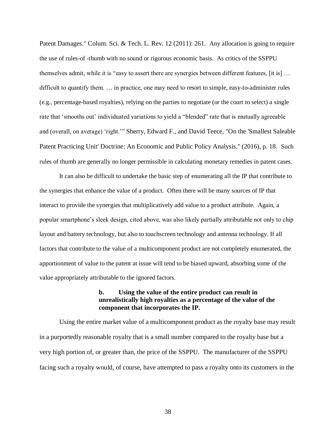Patent Damages." Colum. Sci. & Tech. L. Rev. 12 (2011): 261. Any allocation is going to require the use of rules-of -thumb with no sound or rigorous economic basis. As critics of the SSPPU themselves admit, while it is "easy to assert there are synergies between different features, [it is] … difficult to quantify them. … in practice, one may need to resort to simple, easy-to-administer rules (e.g., percentage-based royalties), relying on the parties to negotiate (or the court to select) a single rate that 'smooths out' individuated variations to yield a "blended" rate that is mutually agreeable and (overall, on average) 'right.'" Sherry, Edward F., and David Teece, "On the 'Smallest Saleable Patent Practicing Unit' Doctrine: An Economic and Public Policy Analysis." (2016), p. 18. Such rules of thumb are generally no longer permissible in calculating monetary remedies in patent cases.

It can also be difficult to undertake the basic step of enumerating all the IP that contribute to the synergies that enhance the value of a product. Often there will be many sources of IP that interact to provide the synergies that multiplicatively add value to a product attribute. Again, a popular smartphone's sleek design, cited above, was also likely partially attributable not only to chip layout and battery technology, but also to touchscreen technology and antenna technology. If all factors that contribute to the value of a multicomponent product are not completely enumerated, the apportionment of value to the patent at issue will tend to be biased upward, absorbing some of the value appropriately attributable to the ignored factors.

# **b. Using the value of the entire product can result in unrealistically high royalties as a percentage of the value of the component that incorporates the IP.**

Using the entire market value of a multicomponent product as the royalty base may result in a purportedly reasonable royalty that is a small number compared to the royalty base but a very high portion of, or greater than, the price of the SSPPU. The manufacturer of the SSPPU facing such a royalty would, of course, have attempted to pass a royalty onto its customers in the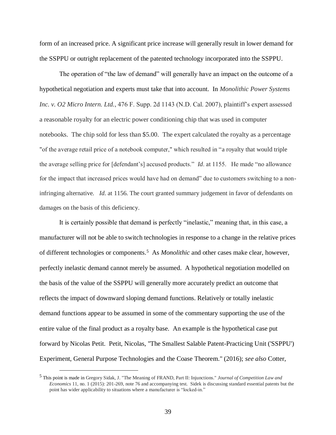form of an increased price. A significant price increase will generally result in lower demand for the SSPPU or outright replacement of the patented technology incorporated into the SSPPU.

The operation of "the law of demand" will generally have an impact on the outcome of a hypothetical negotiation and experts must take that into account. In *Monolithic Power Systems Inc. v. O2 Micro Intern. Ltd.*, 476 F. Supp. 2d 1143 (N.D. Cal. 2007), plaintiff's expert assessed a reasonable royalty for an electric power conditioning chip that was used in computer notebooks. The chip sold for less than \$5.00. The expert calculated the royalty as a percentage "of the average retail price of a notebook computer," which resulted in "a royalty that would triple the average selling price for [defendant's] accused products." *Id*. at 1155. He made "no allowance for the impact that increased prices would have had on demand" due to customers switching to a noninfringing alternative. *Id*. at 1156. The court granted summary judgement in favor of defendants on damages on the basis of this deficiency.

It is certainly possible that demand is perfectly "inelastic," meaning that, in this case, a manufacturer will not be able to switch technologies in response to a change in the relative prices of different technologies or components.<sup>5</sup> As *Monolithic* and other cases make clear, however, perfectly inelastic demand cannot merely be assumed. A hypothetical negotiation modelled on the basis of the value of the SSPPU will generally more accurately predict an outcome that reflects the impact of downward sloping demand functions. Relatively or totally inelastic demand functions appear to be assumed in some of the commentary supporting the use of the entire value of the final product as a royalty base. An example is the hypothetical case put forward by Nicolas Petit. Petit, Nicolas, "The Smallest Salable Patent-Practicing Unit ('SSPPU') Experiment, General Purpose Technologies and the Coase Theorem." (2016); *see also* Cotter,

 $\overline{a}$ 

<sup>5</sup> This point is made in Gregory Sidak, J. "The Meaning of FRAND, Part II: Injunctions." *Journal of Competition Law and Economics* 11, no. 1 (2015): 201-269, note 76 and accompanying test. Sidek is discussing standard essential patents but the point has wider applicability to situations where a manufacturer is "locked-in."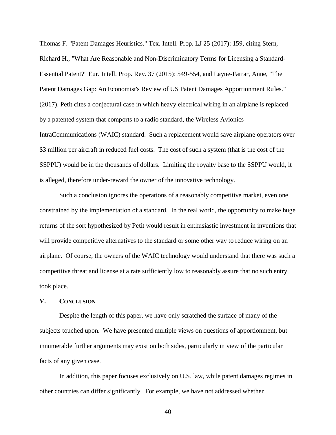Thomas F. "Patent Damages Heuristics." Tex. Intell. Prop. LJ 25 (2017): 159, citing Stern, Richard H., "What Are Reasonable and Non-Discriminatory Terms for Licensing a Standard-Essential Patent?" Eur. Intell. Prop. Rev. 37 (2015): 549-554, and Layne-Farrar, Anne, "The Patent Damages Gap: An Economist's Review of US Patent Damages Apportionment Rules." (2017). Petit cites a conjectural case in which heavy electrical wiring in an airplane is replaced by a patented system that comports to a radio standard, the Wireless Avionics IntraCommunications (WAIC) standard. Such a replacement would save airplane operators over \$3 million per aircraft in reduced fuel costs. The cost of such a system (that is the cost of the SSPPU) would be in the thousands of dollars. Limiting the royalty base to the SSPPU would, it is alleged, therefore under-reward the owner of the innovative technology.

Such a conclusion ignores the operations of a reasonably competitive market, even one constrained by the implementation of a standard. In the real world, the opportunity to make huge returns of the sort hypothesized by Petit would result in enthusiastic investment in inventions that will provide competitive alternatives to the standard or some other way to reduce wiring on an airplane. Of course, the owners of the WAIC technology would understand that there was such a competitive threat and license at a rate sufficiently low to reasonably assure that no such entry took place.

### **V. CONCLUSION**

Despite the length of this paper, we have only scratched the surface of many of the subjects touched upon. We have presented multiple views on questions of apportionment, but innumerable further arguments may exist on both sides, particularly in view of the particular facts of any given case.

In addition, this paper focuses exclusively on U.S. law, while patent damages regimes in other countries can differ significantly. For example, we have not addressed whether